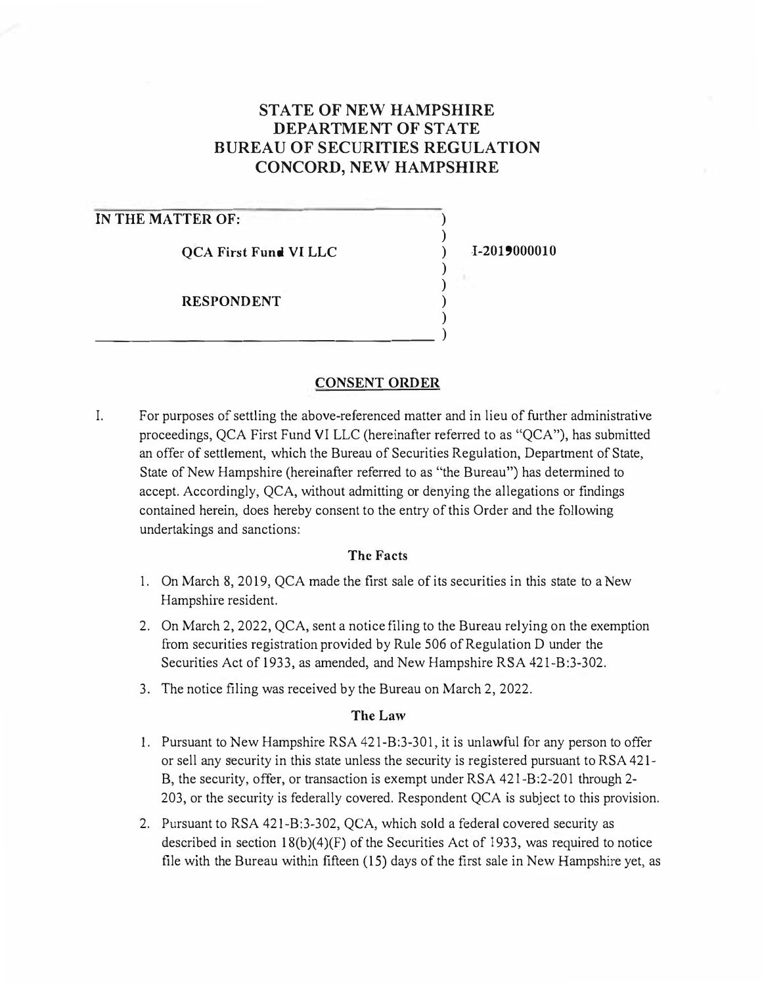# **STATE OF NEW HAMPSHIRE DEPARTMENT OF STATE BUREAU OF SECURITIES REGULATION CONCORD, NEW HAMPSHIRE**

# **IN THE MATTER OF:**

**QCA First Fund VI LLC** 

\_\_\_\_\_\_\_\_\_\_\_\_\_\_\_\_\_\_ )

**RESPONDENT** 

**I-2019000010** 

) ) ) ) ) ) )

## **CONSENT ORDER**

I. For purposes of settling the above-referenced matter and in lieu of further administrative proceedings, QCA First Fund VI LLC (hereinafter referred to as "QCA"), has submitted an offer of settlement, which the Bureau of Securities Regulation, Department of State, State of New Hampshire (hereinafter referred to as "the Bureau") has determined to accept. Accordingly, QCA, without admitting or denying the allegations or findings contained herein, does hereby consent to the entry of this Order and the following undertakings and sanctions:

### **The Facts**

- 1. On March 8, 2019, QCA made the first sale of its securities in this state to a New Hampshire resident.
- 2. On March 2, 2022, QCA, sent a notice filing to the Bureau relying on the exemption from securities registration provided by Rule 506 of Regulation D under the Securities Act of 1933, as amended, and New Hampshire RSA 421-B:3-302.
- 3. The notice filing was received by the Bureau on March 2, 2022.

### **The Law**

- 1. Pursuant to New Hampshire RSA 421-B:3-301, it is unlawful for any person to offer or sell any security in this state unless the security is registered pursuant to RSA 421- B, the security, offer, or transaction is exempt under RSA 421-B:2-201 through 2- 203, or the security is federally covered. Respondent QCA is subject to this provision.
- 2. Pursuant to RSA 421-B:3-302, QCA, which sold a federal covered security as described in section  $18(b)(4)(F)$  of the Securities Act of 1933, was required to notice file with the Bureau within fifteen (15) days of the first sale in New Hampshire yet, as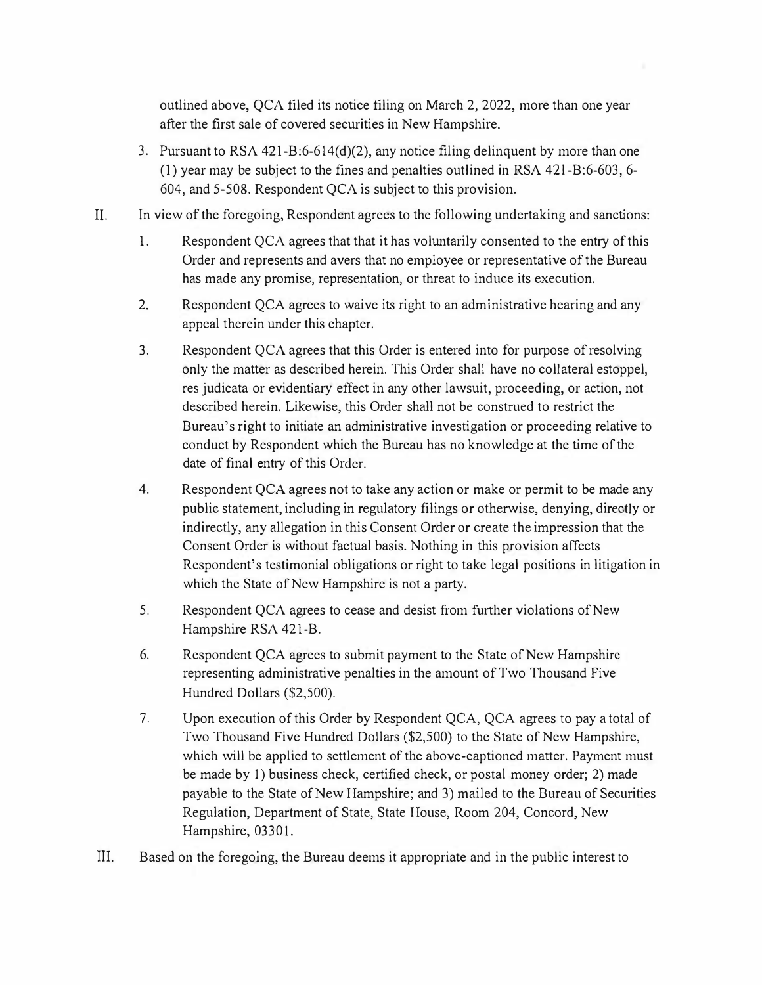**outlined above, QCA filed its notice filing on March 2, 2022, more than one year after the first sale of covered securities in New Hampshire.** 

- **3. Pursuant to RSA 421-B:6-614(d)(2), any notice filing delinquent by more than one (1) year may be subject to the fines and penalties outlined in RSA 42 l-B:6-603, 6- 604, and 5-508. Respondent QCA is subject to this provision.**
- **II. In view of the foregoing, Respondent agrees to the following undertaking and sanctions:** 
	- **1. Respondent QCA agrees that that it has voluntarily consented to the entry of this Order and represents and avers that no employee or representative of the Bureau has made any promise, representation, or threat to induce its execution.**
	- **2. Respondent QCA agrees to waive its right to an administrative hearing and any appeal therein under this chapter.**
	- **3. Respondent QCA agrees that this Order is entered into for purpose ofresolving only the matter as described herein. This Order shall have no collateral estoppel, res judicata or evidentiary effect in any other lawsuit, proceeding, or action, not described herein. Likewise, this Order shall not be construed to restrict the Bureau's right to initiate an administrative investigation or proceeding relative to conduct by Respondent which the Bureau has no knowledge at the time of the date of final entry of this Order.**
	- **4. Respondent QCA agrees not to take any action or make or permit to be made any public statement, including in regulatory filings or otherwise, denying, directly or indirectly, any allegation in this Consent Order or create the impression that the Consent Order is without factual basis. Nothing in this provision affects Respondent's testimonial obligations or right to take legal positions in litigation in which the State of New Hampshire is not a party.**
	- **5. Respondent QCA agrees to cease and desist from further violations of New Hampshire RSA 421-B.**
	- **6. Respondent QCA agrees to submit payment to the State of New Hampshire representing administrative penalties in the amount of Two Thousand Five Hundred Dollars (\$2,500).**
	- **7. Upon execution of this Order by Respondent QCA, QCA agrees to pay a total of Two Thousand Five Hundred Dollars (\$2,500) to the State of New Hampshire, which will be applied to settlement of the above-captioned matter. Payment must**  be made by 1) business check, certified check, or postal money order; 2) made **payable to the State of New Hampshire; and 3) mailed to the Bureau of Securities Regulation, Department of State, State House, Room 204, Concord, New Hampshire, 03301.**
- **III. Based on the foregoing, the Bureau deems it appropriate and in the public interest to**